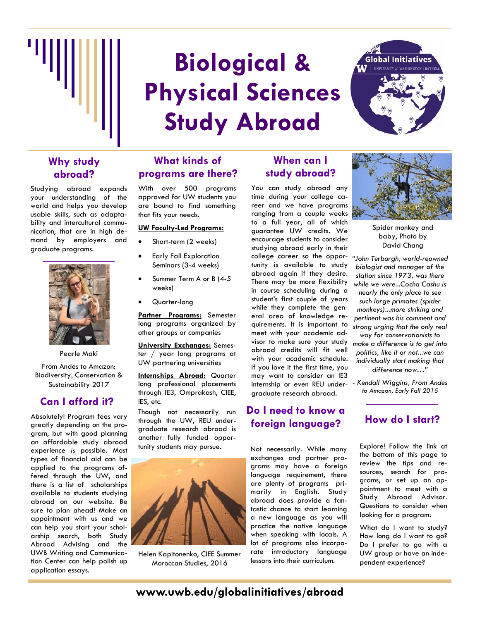

# **Biological & Physical Sciences Study Abroad**



#### **Why study abroad?**

Studying abroad expands your understanding of the world and helps you develop usable skills, such as adaptability and intercultural communication, that are in high demand by employers and graduate programs.



Pearle Maki

From Andes to Amazon: Biodiversity, Conservation & Sustainability 2017

#### **Can I afford it?**

Absolutely! Program fees vary greatly depending on the program, but with good planning an affordable study abroad experience *is* possible. Most types of financial aid can be applied to the programs offered through the UW, and there is a list of scholarships available to students studying abroad on our website. Be sure to plan ahead! Make an appointment with us and we can help you start your scholarship search, both Study Abroad Advising and the UWB Writing and Communication Center can help polish up application essays.

#### **What kinds of programs are there?**

With over 500 programs approved for UW students you are bound to find something that fits your needs.

#### **UW Faculty-Led Programs:**

- Short-term (2 weeks)
- Early Fall Exploration Seminars (3-4 weeks)
- Summer Term A or B (4-5 weeks)
- Quarter-long

**Partner Programs:** Semester long programs organized by other groups or companies

**University Exchanges:** Semester / year long programs at UW partnering universities

**Internships Abroad:** Quarter long professional placements through IE3, Omprakash, CIEE, IES, etc.

Though not necessarily run through the UW, REU undergraduate research abroad is another fully funded opportunity students may pursue.



Helen Kapitonenko, CIEE Summer Moroccan Studies, 2016

#### **When can I study abroad?**

You can study abroad any time during your college career and we have programs ranging from a couple weeks to a full year, all of which guarantee UW credits. We encourage students to consider studying abroad early in their college career so the oppor-*"John Terborgh, world-reowned*  tunity is available to study abroad again if they desire. There may be more flexibility in course scheduling during a student's first couple of years while they complete the general area of knowledge requirements. It is important to meet with your academic advisor to make sure your study abroad credits will fit well with your academic schedule. If you love it the first time, you may want to consider an IE3 internship or even REU undergraduate research abroad.

#### **Do I need to know a foreign language? How do I start?**

Not necessarily. While many exchanges and partner programs may have a foreign language requirement, there are plenty of programs primarily in English. Study abroad does provide a fantastic chance to start learning a new language as you will practice the native language when speaking with locals. A lot of programs also incorporate introductory language lessons into their curriculum.



Spider monkey and baby, Photo by David Chang

*biologist and manager of the station since 1973, was there while we were...Cocha Cashu is nearly the only place to see such large primates (spider monkeys)...more striking and pertinent was his comment and strong urging that the only real way for conservationists to make a difference is to get into politics, like it or not...we can individually start making that difference now…"* 

*- Kendall Wiggins, From Andes to Amazon, Early Fall 2015*

Explore! Follow the link at the bottom of this page to review the tips and resources, search for programs, or set up an appointment to meet with a Study Abroad Advisor. Questions to consider when looking for a program:

What do I want to study? How long do I want to go? Do I prefer to go with a UW group or have an independent experience?